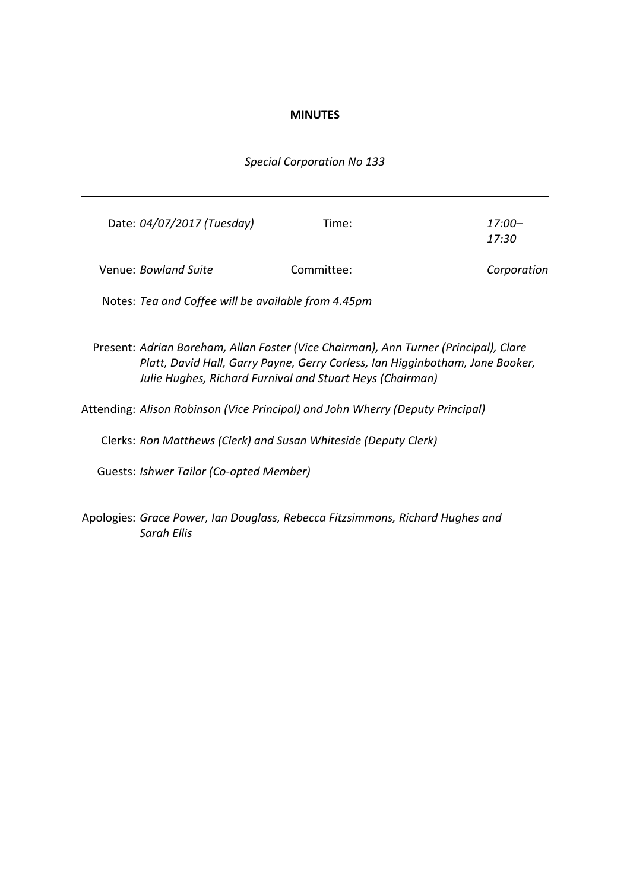## **MINUTES**

## *Special Corporation No 133*

| Date: 04/07/2017 (Tuesday)                          | Time:      | $17:00-$<br>17:30 |
|-----------------------------------------------------|------------|-------------------|
| Venue: Bowland Suite                                | Committee: | Corporation       |
| Notes: Tea and Coffee will be available from 4.45pm |            |                   |

Present: *Adrian Boreham, Allan Foster (Vice Chairman), Ann Turner (Principal), Clare Platt, David Hall, Garry Payne, Gerry Corless, Ian Higginbotham, Jane Booker, Julie Hughes, Richard Furnival and Stuart Heys (Chairman)*

Attending: *Alison Robinson (Vice Principal) and John Wherry (Deputy Principal)*

Clerks: *Ron Matthews (Clerk) and Susan Whiteside (Deputy Clerk)*

Guests: *Ishwer Tailor (Co-opted Member)*

Apologies: *Grace Power, Ian Douglass, Rebecca Fitzsimmons, Richard Hughes and Sarah Ellis*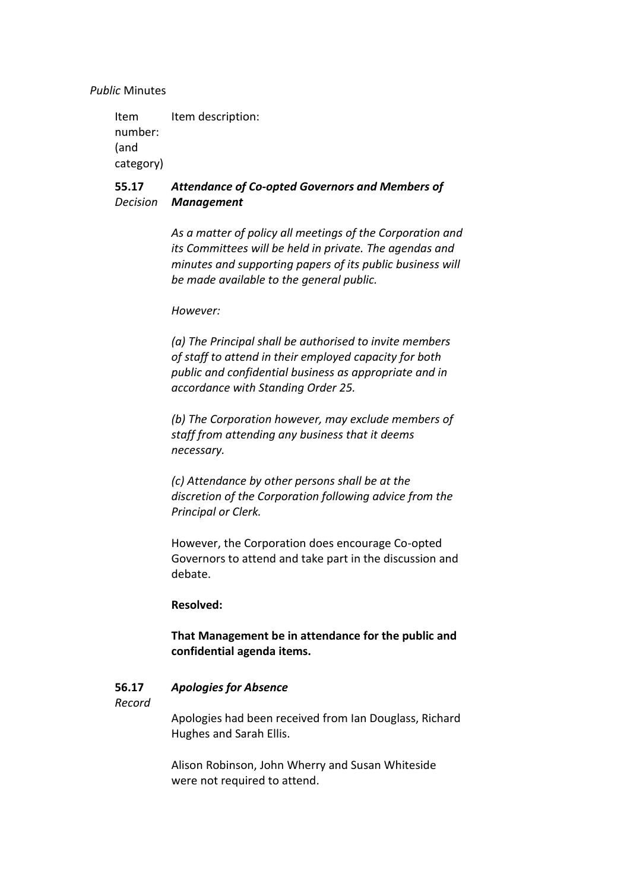*Public* Minutes

Item number: (and category) Item description:

### **55.17** *Decision Management Attendance of Co-opted Governors and Members of*

*As a matter of policy all meetings of the Corporation and its Committees will be held in private. The agendas and minutes and supporting papers of its public business will be made available to the general public.*

## *However:*

*(a) The Principal shall be authorised to invite members of staff to attend in their employed capacity for both public and confidential business as appropriate and in accordance with Standing Order 25.*

*(b) The Corporation however, may exclude members of staff from attending any business that it deems necessary.*

*(c) Attendance by other persons shall be at the discretion of the Corporation following advice from the Principal or Clerk.*

However, the Corporation does encourage Co-opted Governors to attend and take part in the discussion and debate.

### **Resolved:**

# **That Management be in attendance for the public and confidential agenda items.**

#### **56.17** *Apologies for Absence*

### *Record*

Apologies had been received from Ian Douglass, Richard Hughes and Sarah Ellis.

Alison Robinson, John Wherry and Susan Whiteside were not required to attend.